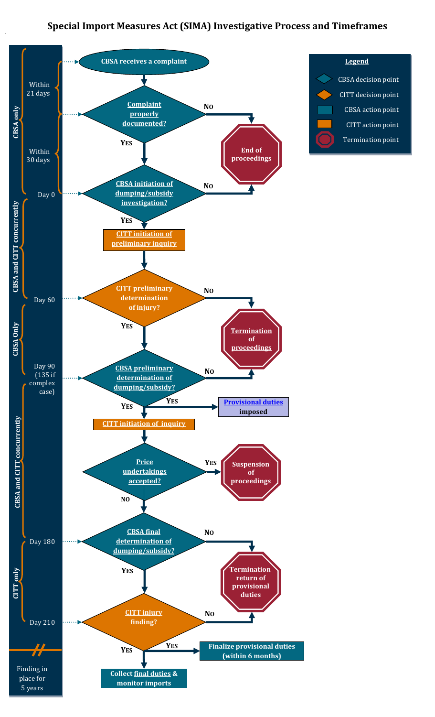## **Special Import Measures Act (SIMA) Investigative Process and Timeframes**



## **Legend** CBSA decision point CITT decision point CBSA action point CITT action point Termination point

i